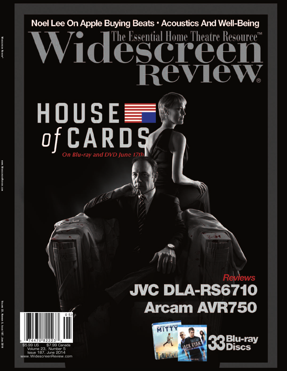# Noel Lee On Apple Buying Beats · Acoustics And Well-Being The Essential Home Theatre Resource™

### **JVC DLA-RS6 Arcam AVR750**







HOUSE

C A R D

On Blu-ray and DVD June 171

o f

\$5.99 US \$7.99 Canada Volume 23, Number 5 Issue 187, June 2014 www.WidescreenReview.com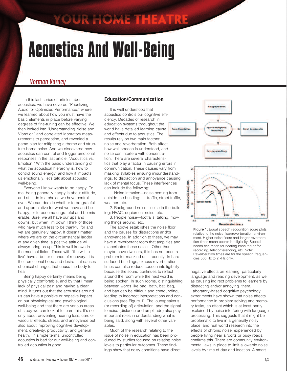### YOUR HOME THEATRE

## Acoustics And Well-Being

#### **Norman Varney**

 In this last series of articles about acoustics, we have covered "Prioritizing Audio for Optimized Performance," where we learned about how you must have the basic elements in place before varying degrees of fine-tuning can be effective. We then looked into "Understanding Noise and Vibration" and correlated laboratory measurements to perception, and revealed a game plan for mitigating airborne and structure-borne noise. And we discovered how acoustics can control and trigger emotional responses in the last article, "Acoustics vs. Emotion." With the basic understanding of what the acoustical hierarchy is, how to control sound energy, and how it impacts us emotionally, let's talk about acoustic well-being.

 Everyone I know wants to be happy. To me, being generally happy is about attitude, and attitude is a choice we have control over. We can decide whether to be grateful and appreciative for what we have and be happy, or to become ungrateful and be miserable. Sure, we all have our ups and downs, but when I'm down I think of those who have much less to be thankful for and yet are genuinely happy. It doesn't matter where we are on the circumstantial ladder at any given time, a positive attitude will always bring us up. This is well known in the medical fields. Those with "the will to live" have a better chance of recovery. It is their emotional hope and desire that causes chemical changes that cause the body to heal.

 Being happy certainly means being physically comfortable, and by that I mean lack of physical pain and having a clear mind. It turns out that the acoustics around us can have a positive or negative impact on our physiological and psychological well-being and that there are various areas of study we can look at to learn this. It's not only about preventing hearing loss, cardiovascular effects, stress, and annoyance but also about improving cognitive development, creativity, productivity, and general health. In simple terms, uncontrolled acoustics is bad for our well-being and controlled acoustics is good.

#### **Education/Communication**

 It is well understood that acoustics controls our cognitive efficiency. Decades of research in education systems throughout the world have detailed learning cause and effects due to acoustics. The results rely on two main factors: noise and reverberation. Both affect how well speech is understood, and noise can interfere with concentration. There are several characteristics that play a factor in causing errors in communication. These causes vary from masking syllables ensuing misunderstandings, to distraction and annoyance causing lack of mental focus. These interferences can include the following:

 1. Noise intrusion––noise coming from outside the building: air traffic, street traffic, weather, etc.

 2. Background noise––noise in the building: HVAC, equipment noise, etc.

 3. People noise––footfalls, talking, moving things around, etc.

 The above establishes the noise floor and the causes for distractions and/or annoyances. In addition to these, we may have a reverberant room that amplifies and exacerbates these noises. Other than maybe cave dwellers, this has not been a problem for mankind until recently. In hardsurfaced buildings, excess reverberation times can also reduce speech intelligibility because the sound continues to reflect around the room while the next word is being spoken. In such rooms, distinguishing between words like bad, bath, bat, bag, and ban can be difficult and confounding, leading to incorrect interpretations and conclusions (see Figure 1). The loudspeaker's (or recording of) articulation, and the signal to noise (distance and amplitude) also play important roles in understanding what is being said, along with several other variables.

 Much of the research relating to the issue of noise in education has been produced by studies focused on relating noise levels to particular outcomes. These findings show that noisy conditions have direct



**Figure 1:** Equal speech recognition score plots relative to the noise floor/reverberation environment. Higher noise floors and longer reverberation times mean poorer intelligibility. Special needs can mean for hearing impaired or for recording, teleconferencing, etc. Note: Reverberation times are for the speech frequencies 500 Hz to 2 kHz only.

negative effects on learning, particularly language and reading development, as well as causing indirect problems to learners by distracting and/or annoying them. Laboratory-based cognitive psychology experiments have shown that noise affects performance in problem solving and memory tasks, an effect which is at least partly explained by noise interfering with language processing. This suggests that it might be problematic to live in a generally noisy place, and real world research into the effects of chronic noise, experienced by people living near airports or busy roads, confirms this. There are community environmental laws in place to limit allowable noise levels by time of day and location. A smart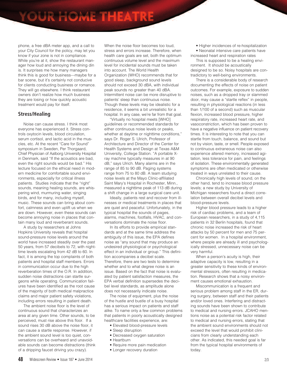phone, a free dBA meter app, and a call to your City Council for the policy, may let you know if your zone is not in compliance. While you're at it, show the restaurant manager how loud and annoying the dining din is. It surprises me how many managers think this is good for business––maybe for a bar scene, but it's certainly not conducive for clients conducting business or romance. They will go elsewhere. I think restaurant owners don't realize how much business they are losing or how quickly acoustic treatment would pay for itself.

#### **Stress/Healing**

 Noise can cause stress. I think most everyone has experienced it. Stress controls oxytocin levels, blood circulation, serum cortisol, and lactic acid in the muscles, etc. At the recent "Care for Sound" symposium in Sweden, Per Thorgaard, Chief Physician of Aalborg University Hospital in Denmark, said "If the acoustics are bad, even the right sounds would be bad." His lecture focused on the ethical need in modern medicine for comfortable sound environments, especially for critical illness patients. Studies indicate that the "right" sounds, meaning healing sounds, are whispering wind, murmuring water, singing birds, and for many, including myself, music. These sounds can bring about comfort, calmness and even uplift us when we are down. However, even these sounds can become annoying noise in places that contain many loud and reverberant sounds.

 A study by researchers at Johns Hopkins University reveals that hospital sound-pressure noise levels around the world have increased steadily over the past 50 years, from 57 decibels to 72, with nighttime levels escalating from 42 dB to 60. In fact, it is among the top complaints of both patients and hospital staff members. Errors in communication occur due to the high reverberation times of the O.R. In addition, sudden noise distractions can startle surgeons while operating. Communication failures have been identified as the root cause of the majority of both medical malpractice claims and major patient safety violations, including errors resulting in patient death.

 The ambient noise floor is the level of continuous sound that characterizes an area at any given time. Other sounds, to be perceived, must rise above this floor. If a sound rises 30 dB above the noise floor, it can cause a startle response. However, if the ambient sound level is too quiet, conversations can be overheard and unavoidable sounds can become distractions (think of a dripping faucet driving you crazy).

When the noise floor becomes too loud, stress and errors increase. Therefore, when health care goals are set, both the optimum continuous volume level and the maximum level for incidental sounds must be taken into account. The World Health Organization (WHO) recommends that for good sleep, background sound levels should not exceed 30 dBA, with individual peak sounds no greater than 40 dBA. Intermittent noise can be more disruptive to patients' sleep than continuous noise. Though these levels may be idealistic for a residence, it seems a bit unrealistic for a hospital. In any case, we're far from that goal.

 "Virtually no hospital meets [WHO] guidelines or recommended standards for either continuous noise levels or peaks, whether at daytime or nighttime conditions," says Dr. Roger S. Ulrich, Professor of Architecture and Director of the Center for Health Systems and Design at Texas A&M University, College Station. "A portable Xray machine typically measures in at 90 dB," says Ulrich. Many alarms are in the range of 85 to 90 dB. Paging systems range from 75 to 80 dB. A team studying noise levels at the Mayo Clinic-affiliated Saint Mary's Hospital in Rochester, Minn., measured a nighttime peak of 113 dB during a shift change in a large surgical care unit.

 Ideally, patients rest and recover from illnesses or medical treatments in places that are quiet and peaceful. Unfortunately, in the typical hospital the sounds of pages, alarms, machines, footfalls, HVAC, and conversations dominate the noise floor.

 In its efforts to provide empirical standards and at the same time address the ambiguity of this issue, the EPA defines noise as "any sound that may produce an undesired physiological or psychological effect in an individual or group." This definition accompanies a decibel scale. Therefore, there are two tests to determine whether and to what degree noise is an issue. Based on the fact that noise is evaluated by patient satisfaction measures, the EPA verbal definition supersedes the decibel level standards, as amplitude alone does not necessarily indicate noise.

 The noise of equipment, plus the noise of the hustle and bustle of a busy hospital has a serious impact on patients and staff alike. To name only a few common problems that patients in poorly acoustically designed healthcare facilities experience, are:

- Elevated blood-pressure levels
- Sleep disruption
- Decreased oxygen saturation
- Heartburn
- Require more pain medication
- Longer recovery duration

• Higher incidences of re-hospitalization

 • Neonatal intensive care patients have increased heart and respiration rates

 This is supposed to be a healing environment. It should be acoustically designed to be so. Noisy hospitals are contradictory to well-being environments.

 There is a considerable body of research documenting the effects of noise on patient outcomes. For example, exposure to sudden noises, such as a dropped tray or slammed door, may cause a "startle reflex" in people, resulting in physiological reactions (in less than 1/100 of a second) such as muscular flexion, increased blood pressure, higher respiratory rate, increased heart rate, and vasoconstriction, which has been proven to have a negative influence on patient recovery times. It is interesting to note that you can startle from touch, balance, and sound but not by vision, taste, or smell. People exposed to continuous extraneous noise can also experience altered memory, increased agitation, less tolerance for pain, and feelings of isolation. These environmentally generated symptoms are often medicated or otherwise treated in ways unrelated to their cause.

 Chronically high levels of sound, on the other hand, tend to increase blood pressure levels; a new study by University of Michigan researchers found a direct correlation between overall decibel levels and blood-pressure levels.

 Higher blood pressure leads to a higher risk of cardiac problems, and a team of European researchers, in a study of 4,115 patients in 32 Berlin hospitals, found that chronic noise increased the risk of heart attacks by 50 percent for men and 75 percent for women. In a hospital environment, where people are already ill and psychologically stressed, unnecessary noise can be very harmful.

 When a person's acuity is high, their adaptive capacity is low, resulting in a greater sensitivity to these kinds of environmental stressors, often resulting in medication. Research shows that a noisy environment causes emotional exhaustion.

 Miscommunication is a frequent and serious problem among staff in the ER, during surgery, between staff and their patients and/or loved ones. Interfering and distracting sounds have been shown to contribute to medical and nursing errors. JCAHO mentions noise as a potential risk factor related to medical and nursing errors, stating that the ambient sound environments should not exceed the level that would prohibit clinicians from clearly understanding each other. As indicated, this needed goal is far from the typical hospital environments of today.